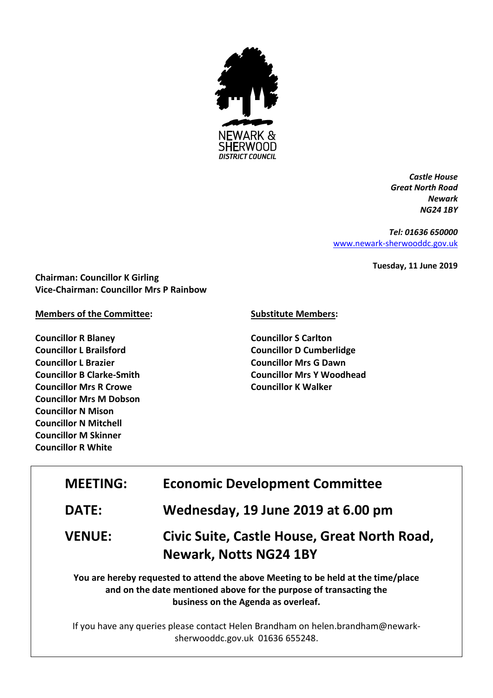

*Castle House Great North Road Newark NG24 1BY*

*Tel: 01636 650000* [www.newark-sherwooddc.gov.uk](http://www.newark-sherwooddc.gov.uk/)

**Tuesday, 11 June 2019**

**Chairman: Councillor K Girling Vice-Chairman: Councillor Mrs P Rainbow**

## **Members of the Committee:**

**Councillor R Blaney Councillor L Brailsford Councillor L Brazier Councillor B Clarke-Smith Councillor Mrs R Crowe Councillor Mrs M Dobson Councillor N Mison Councillor N Mitchell Councillor M Skinner Councillor R White**

## **Substitute Members:**

**Councillor S Carlton Councillor D Cumberlidge Councillor Mrs G Dawn Councillor Mrs Y Woodhead Councillor K Walker**

## **MEETING: Economic Development Committee DATE: Wednesday, 19 June 2019 at 6.00 pm VENUE: Civic Suite, Castle House, Great North Road, Newark, Notts NG24 1BY You are hereby requested to attend the above Meeting to be held at the time/place and on the date mentioned above for the purpose of transacting the**

**business on the Agenda as overleaf.**

If you have any queries please contact Helen Brandham on helen.brandham@newarksherwooddc.gov.uk 01636 655248.